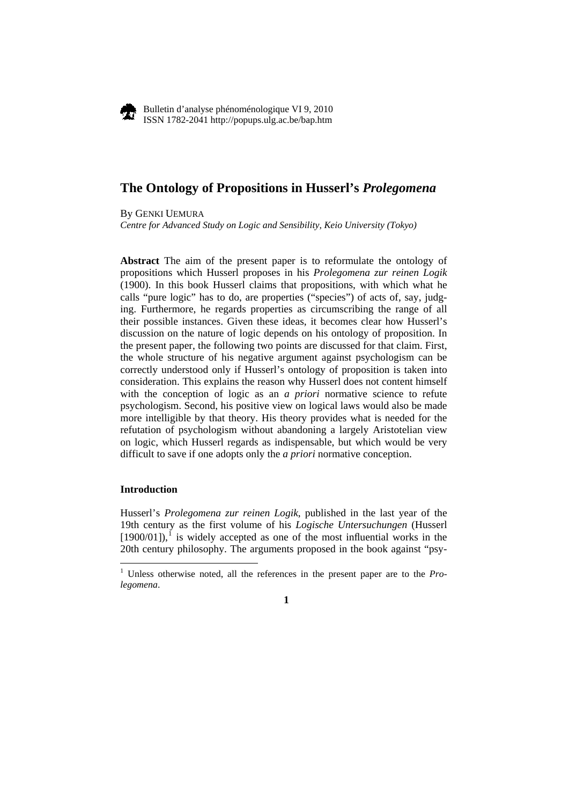

Bulletin d'analyse phénoménologique VI 9, 2010 ISSN 1782-2041 http://popups.ulg.ac.be/bap.htm

# **The Ontology of Propositions in Husserl's** *Prolegomena*

By GENKI UEMURA *Centre for Advanced Study on Logic and Sensibility, Keio University (Tokyo)* 

**Abstract** The aim of the present paper is to reformulate the ontology of propositions which Husserl proposes in his *Prolegomena zur reinen Logik* (1900). In this book Husserl claims that propositions, with which what he calls "pure logic" has to do, are properties ("species") of acts of, say, judging. Furthermore, he regards properties as circumscribing the range of all their possible instances. Given these ideas, it becomes clear how Husserl's discussion on the nature of logic depends on his ontology of proposition. In the present paper, the following two points are discussed for that claim. First, the whole structure of his negative argument against psychologism can be correctly understood only if Husserl's ontology of proposition is taken into consideration. This explains the reason why Husserl does not content himself with the conception of logic as an *a priori* normative science to refute psychologism. Second, his positive view on logical laws would also be made more intelligible by that theory. His theory provides what is needed for the refutation of psychologism without abandoning a largely Aristotelian view on logic, which Husserl regards as indispensable, but which would be very difficult to save if one adopts only the *a priori* normative conception.

# **Introduction**

1

Husserl's *Prolegomena zur reinen Logik*, published in the last year of the 19th century as the first volume of his *Logische Untersuchungen* (Husserl  $[1900/01]$  $[1900/01]$  $[1900/01]$ ,<sup>1</sup> is widely accepted as one of the most influential works in the 20th century philosophy. The arguments proposed in the book against "psy-

<span id="page-0-0"></span><sup>&</sup>lt;sup>1</sup> Unless otherwise noted, all the references in the present paper are to the *Prolegomena*.

**<sup>1</sup>**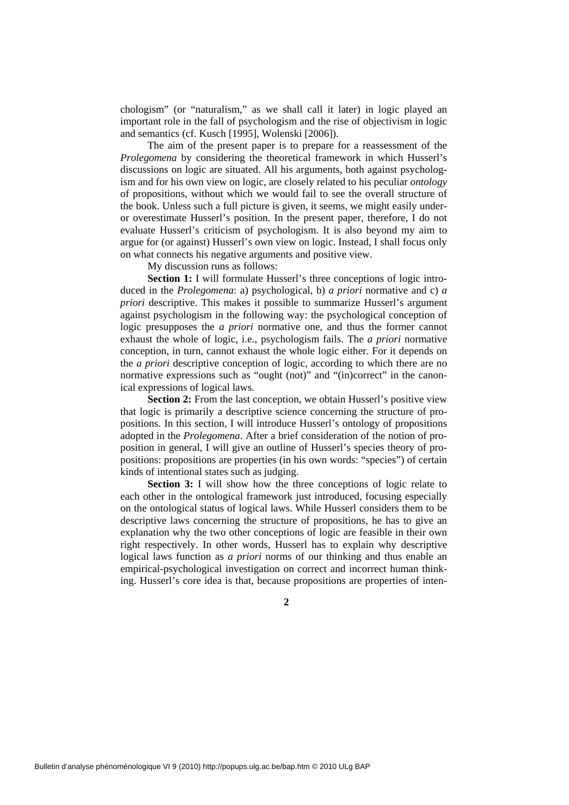chologism" (or "naturalism," as we shall call it later) in logic played an important role in the fall of psychologism and the rise of objectivism in logic and semantics (cf. Kusch [1995], Wolenski [2006]).

The aim of the present paper is to prepare for a reassessment of the *Prolegomena* by considering the theoretical framework in which Husserl's discussions on logic are situated. All his arguments, both against psychologism and for his own view on logic, are closely related to his peculiar *ontology* of propositions, without which we would fail to see the overall structure of the book. Unless such a full picture is given, it seems, we might easily underor overestimate Husserl's position. In the present paper, therefore, I do not evaluate Husserl's criticism of psychologism. It is also beyond my aim to argue for (or against) Husserl's own view on logic. Instead, I shall focus only on what connects his negative arguments and positive view.

My discussion runs as follows:

**Section 1:** I will formulate Husserl's three conceptions of logic introduced in the *Prolegomena*: a) psychological, b) *a priori* normative and c) *a priori* descriptive. This makes it possible to summarize Husserl's argument against psychologism in the following way: the psychological conception of logic presupposes the *a priori* normative one, and thus the former cannot exhaust the whole of logic, i.e., psychologism fails. The *a priori* normative conception, in turn, cannot exhaust the whole logic either. For it depends on the *a priori* descriptive conception of logic, according to which there are no normative expressions such as "ought (not)" and "(in)correct" in the canonical expressions of logical laws.

**Section 2:** From the last conception, we obtain Husserl's positive view that logic is primarily a descriptive science concerning the structure of propositions. In this section, I will introduce Husserl's ontology of propositions adopted in the *Prolegomena*. After a brief consideration of the notion of proposition in general, I will give an outline of Husserl's species theory of propositions: propositions are properties (in his own words: "species") of certain kinds of intentional states such as judging.

**Section 3:** I will show how the three conceptions of logic relate to each other in the ontological framework just introduced, focusing especially on the ontological status of logical laws. While Husserl considers them to be descriptive laws concerning the structure of propositions, he has to give an explanation why the two other conceptions of logic are feasible in their own right respectively. In other words, Husserl has to explain why descriptive logical laws function as *a priori* norms of our thinking and thus enable an empirical-psychological investigation on correct and incorrect human thinking. Husserl's core idea is that, because propositions are properties of inten-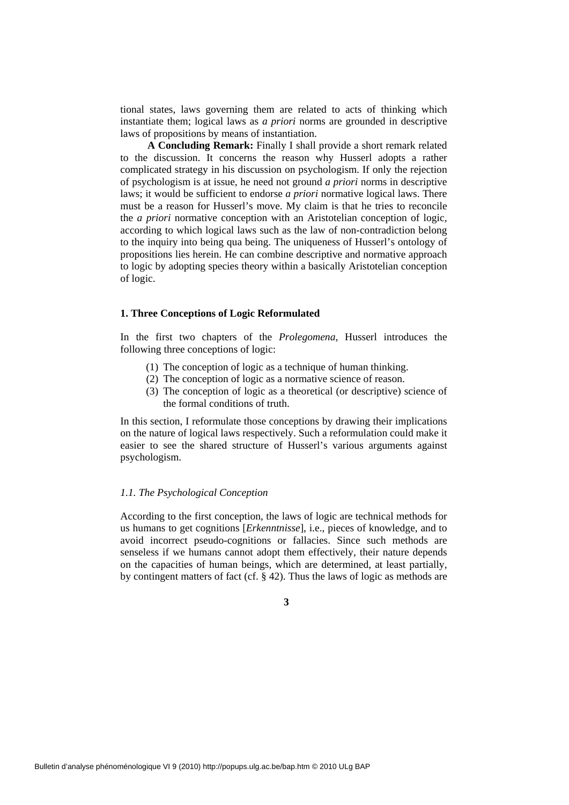tional states, laws governing them are related to acts of thinking which instantiate them; logical laws as *a priori* norms are grounded in descriptive laws of propositions by means of instantiation.

**A Concluding Remark:** Finally I shall provide a short remark related to the discussion. It concerns the reason why Husserl adopts a rather complicated strategy in his discussion on psychologism. If only the rejection of psychologism is at issue, he need not ground *a priori* norms in descriptive laws; it would be sufficient to endorse *a priori* normative logical laws. There must be a reason for Husserl's move. My claim is that he tries to reconcile the *a priori* normative conception with an Aristotelian conception of logic, according to which logical laws such as the law of non-contradiction belong to the inquiry into being qua being. The uniqueness of Husserl's ontology of propositions lies herein. He can combine descriptive and normative approach to logic by adopting species theory within a basically Aristotelian conception of logic.

#### **1. Three Conceptions of Logic Reformulated**

In the first two chapters of the *Prolegomena*, Husserl introduces the following three conceptions of logic:

- (1) The conception of logic as a technique of human thinking.
- (2) The conception of logic as a normative science of reason.
- (3) The conception of logic as a theoretical (or descriptive) science of the formal conditions of truth.

In this section, I reformulate those conceptions by drawing their implications on the nature of logical laws respectively. Such a reformulation could make it easier to see the shared structure of Husserl's various arguments against psychologism.

#### *1.1. The Psychological Conception*

According to the first conception, the laws of logic are technical methods for us humans to get cognitions [*Erkenntnisse*], i.e., pieces of knowledge, and to avoid incorrect pseudo-cognitions or fallacies. Since such methods are senseless if we humans cannot adopt them effectively, their nature depends on the capacities of human beings, which are determined, at least partially, by contingent matters of fact (cf.  $\S$  42). Thus the laws of logic as methods are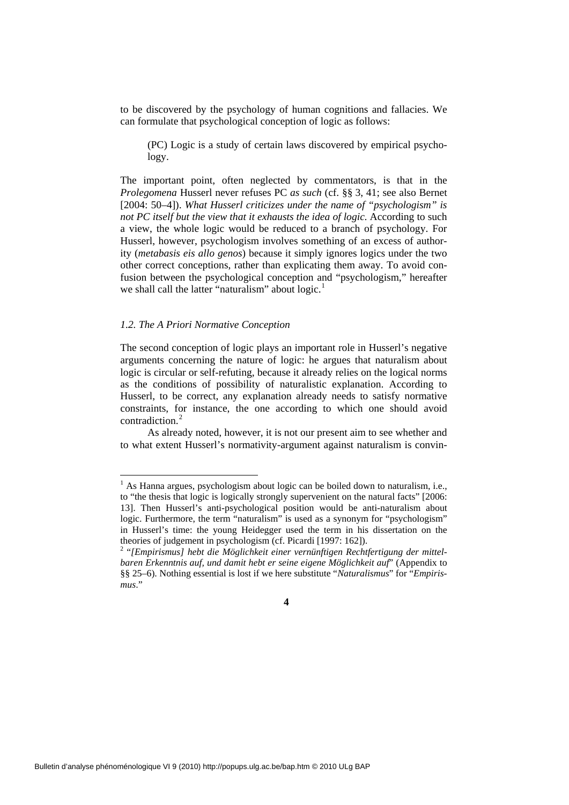to be discovered by the psychology of human cognitions and fallacies. We can formulate that psychological conception of logic as follows:

(PC) Logic is a study of certain laws discovered by empirical psychology.

The important point, often neglected by commentators, is that in the *Prolegomena* Husserl never refuses PC *as such* (cf. §§ 3, 41; see also Bernet [2004: 50–4]). *What Husserl criticizes under the name of "psychologism" is not PC itself but the view that it exhausts the idea of logic.* According to such a view, the whole logic would be reduced to a branch of psychology. For Husserl, however, psychologism involves something of an excess of authority (*metabasis eis allo genos*) because it simply ignores logics under the two other correct conceptions, rather than explicating them away. To avoid confusion between the psychological conception and "psychologism," hereafter we shall call the latter "naturalism" about  $logic$ <sup>[1](#page-3-0)</sup>

#### *1.2. The A Priori Normative Conception*

1

The second conception of logic plays an important role in Husserl's negative arguments concerning the nature of logic: he argues that naturalism about logic is circular or self-refuting, because it already relies on the logical norms as the conditions of possibility of naturalistic explanation. According to Husserl, to be correct, any explanation already needs to satisfy normative constraints, for instance, the one according to which one should avoid contradiction.<sup>[2](#page-3-1)</sup>

As already noted, however, it is not our present aim to see whether and to what extent Husserl's normativity-argument against naturalism is convin-

<span id="page-3-0"></span><sup>&</sup>lt;sup>1</sup> As Hanna argues, psychologism about logic can be boiled down to naturalism, i.e., to "the thesis that logic is logically strongly supervenient on the natural facts" [2006: 13]. Then Husserl's anti-psychological position would be anti-naturalism about logic. Furthermore, the term "naturalism" is used as a synonym for "psychologism" in Husserl's time: the young Heidegger used the term in his dissertation on the theories of judgement in psychologism (cf. Picardi [1997: 162]).

<span id="page-3-1"></span><sup>&</sup>lt;sup>2</sup> "[Empirismus] hebt die Möglichkeit einer vernünftigen Rechtfertigung der mittel*baren Erkenntnis auf, und damit hebt er seine eigene Möglichkeit auf*" (Appendix to §§ 25–6). Nothing essential is lost if we here substitute "*Naturalismus*" for "*Empirismus*."

**<sup>4</sup>**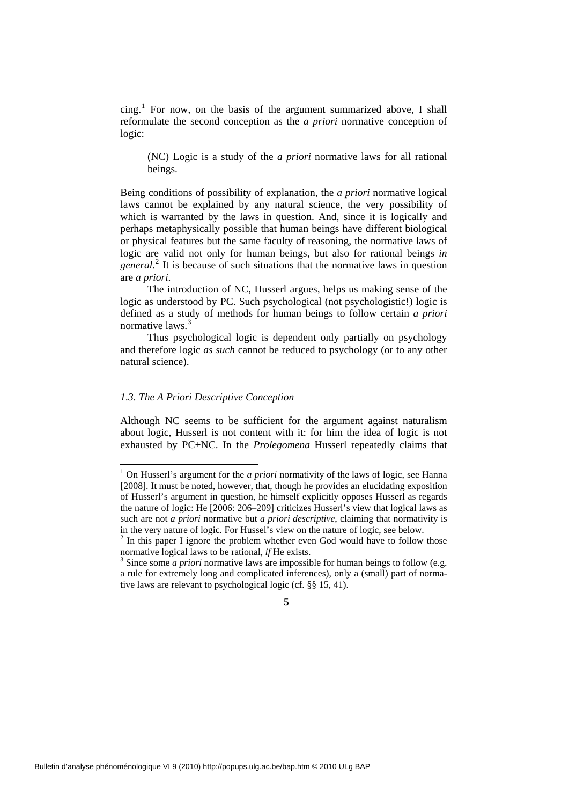$\text{cing.}^1$  $\text{cing.}^1$  For now, on the basis of the argument summarized above, I shall reformulate the second conception as the *a priori* normative conception of logic:

(NC) Logic is a study of the *a priori* normative laws for all rational beings.

Being conditions of possibility of explanation, the *a priori* normative logical laws cannot be explained by any natural science, the very possibility of which is warranted by the laws in question. And, since it is logically and perhaps metaphysically possible that human beings have different biological or physical features but the same faculty of reasoning, the normative laws of logic are valid not only for human beings, but also for rational beings *in general*. [2](#page-4-1) It is because of such situations that the normative laws in question are *a priori*.

The introduction of NC, Husserl argues, helps us making sense of the logic as understood by PC. Such psychological (not psychologistic!) logic is defined as a study of methods for human beings to follow certain *a priori* normative laws<sup>[3](#page-4-2)</sup>

Thus psychological logic is dependent only partially on psychology and therefore logic *as such* cannot be reduced to psychology (or to any other natural science).

# *1.3. The A Priori Descriptive Conception*

-

Although NC seems to be sufficient for the argument against naturalism about logic, Husserl is not content with it: for him the idea of logic is not exhausted by PC+NC. In the *Prolegomena* Husserl repeatedly claims that

<span id="page-4-0"></span><sup>&</sup>lt;sup>1</sup> On Husserl's argument for the *a priori* normativity of the laws of logic, see Hanna [2008]. It must be noted, however, that, though he provides an elucidating exposition of Husserl's argument in question, he himself explicitly opposes Husserl as regards the nature of logic: He [2006: 206–209] criticizes Husserl's view that logical laws as such are not *a priori* normative but *a priori descriptive*, claiming that normativity is in the very nature of logic. For Hussel's view on the nature of logic, see below.

<span id="page-4-1"></span> $2$  In this paper I ignore the problem whether even God would have to follow those normative logical laws to be rational, *if* He exists. 3

<span id="page-4-2"></span> $3$  Since some *a priori* normative laws are impossible for human beings to follow (e.g. a rule for extremely long and complicated inferences), only a (small) part of normative laws are relevant to psychological logic (cf. §§ 15, 41).

**<sup>5</sup>**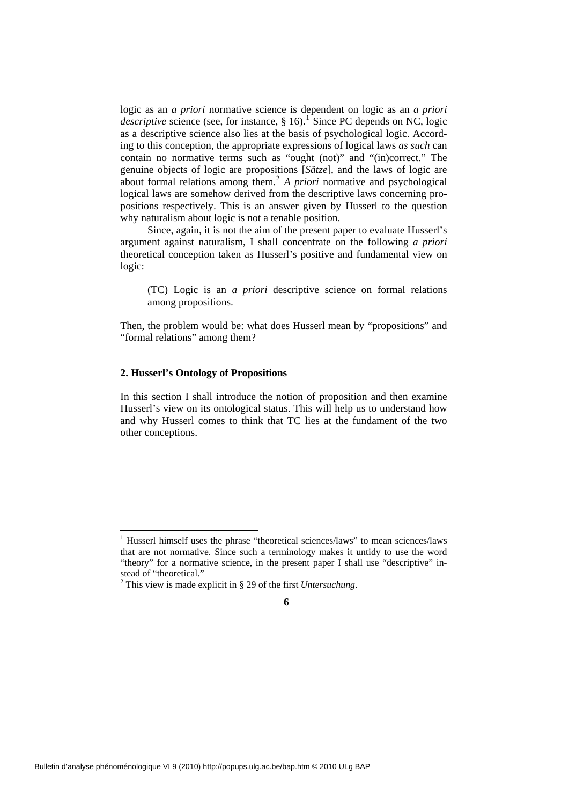logic as an *a priori* normative science is dependent on logic as an *a priori descriptive* science (see, for instance,  $\S$  [1](#page-5-0)6).<sup>1</sup> Since PC depends on NC, logic as a descriptive science also lies at the basis of psychological logic. According to this conception, the appropriate expressions of logical laws *as such* can contain no normative terms such as "ought (not)" and "(in)correct." The genuine objects of logic are propositions [*Sätze*], and the laws of logic are about formal relations among them.[2](#page-5-1) *A priori* normative and psychological logical laws are somehow derived from the descriptive laws concerning propositions respectively. This is an answer given by Husserl to the question why naturalism about logic is not a tenable position.

Since, again, it is not the aim of the present paper to evaluate Husserl's argument against naturalism, I shall concentrate on the following *a priori* theoretical conception taken as Husserl's positive and fundamental view on logic:

(TC) Logic is an *a priori* descriptive science on formal relations among propositions.

Then, the problem would be: what does Husserl mean by "propositions" and "formal relations" among them?

### **2. Husserl's Ontology of Propositions**

-

In this section I shall introduce the notion of proposition and then examine Husserl's view on its ontological status. This will help us to understand how and why Husserl comes to think that TC lies at the fundament of the two other conceptions.

<span id="page-5-0"></span><sup>&</sup>lt;sup>1</sup> Husserl himself uses the phrase "theoretical sciences/laws" to mean sciences/laws that are not normative. Since such a terminology makes it untidy to use the word "theory" for a normative science, in the present paper I shall use "descriptive" instead of "theoretical."

<span id="page-5-1"></span><sup>2</sup> This view is made explicit in § 29 of the first *Untersuchung*.

**<sup>6</sup>**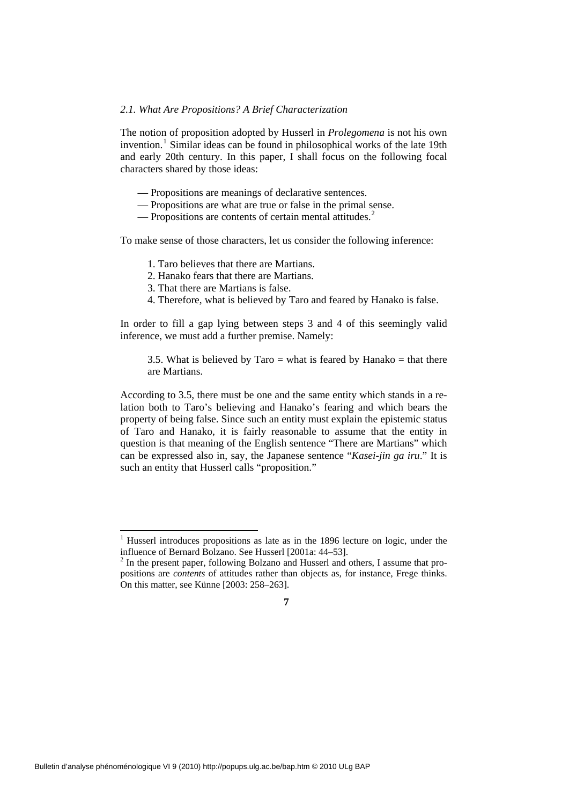#### *2.1. What Are Propositions? A Brief Characterization*

The notion of proposition adopted by Husserl in *Prolegomena* is not his own invention.<sup>[1](#page-6-0)</sup> Similar ideas can be found in philosophical works of the late 19th and early 20th century. In this paper, I shall focus on the following focal characters shared by those ideas:

- Propositions are meanings of declarative sentences.
- Propositions are what are true or false in the primal sense.
- Propositions are contents of certain mental attitudes. $2^2$  $2^2$

To make sense of those characters, let us consider the following inference:

- 1. Taro believes that there are Martians.
- 2. Hanako fears that there are Martians.
- 3. That there are Martians is false.
- 4. Therefore, what is believed by Taro and feared by Hanako is false.

In order to fill a gap lying between steps 3 and 4 of this seemingly valid inference, we must add a further premise. Namely:

3.5. What is believed by  $Taro = what$  is feared by Hanako = that there are Martians.

According to 3.5, there must be one and the same entity which stands in a relation both to Taro's believing and Hanako's fearing and which bears the property of being false. Since such an entity must explain the epistemic status of Taro and Hanako, it is fairly reasonable to assume that the entity in question is that meaning of the English sentence "There are Martians" which can be expressed also in, say, the Japanese sentence "*Kasei-jin ga iru*." It is such an entity that Husserl calls "proposition."

-

<span id="page-6-0"></span><sup>&</sup>lt;sup>1</sup> Husserl introduces propositions as late as in the 1896 lecture on logic, under the influence of Bernard Bolzano. See Husserl [2001a: 44–53].

<span id="page-6-1"></span> $2$  In the present paper, following Bolzano and Husserl and others, I assume that propositions are *contents* of attitudes rather than objects as, for instance, Frege thinks. On this matter, see Künne [2003: 258–263].

**<sup>7</sup>**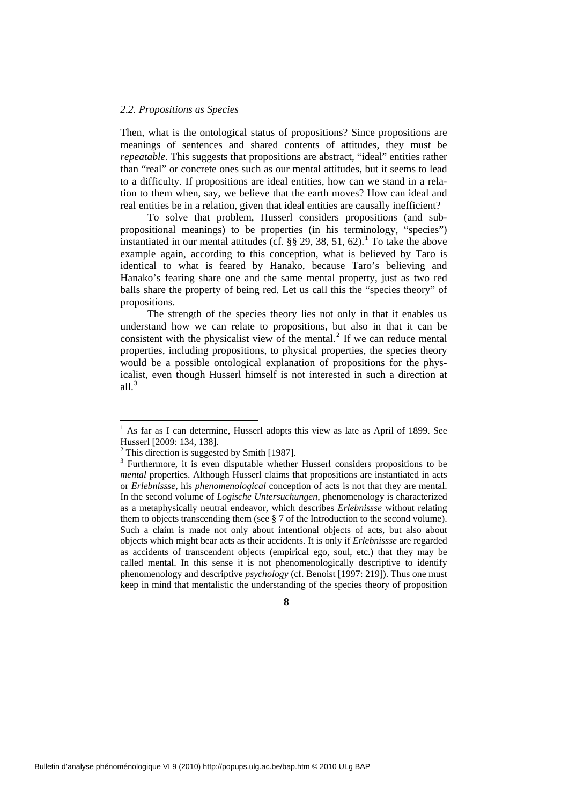#### *2.2. Propositions as Species*

Then, what is the ontological status of propositions? Since propositions are meanings of sentences and shared contents of attitudes, they must be *repeatable*. This suggests that propositions are abstract, "ideal" entities rather than "real" or concrete ones such as our mental attitudes, but it seems to lead to a difficulty. If propositions are ideal entities, how can we stand in a relation to them when, say, we believe that the earth moves? How can ideal and real entities be in a relation, given that ideal entities are causally inefficient?

To solve that problem, Husserl considers propositions (and subpropositional meanings) to be properties (in his terminology, "species") instantiated in our mental attitudes (cf.  $\S$ § 29, 38, 5[1](#page-7-0), 62).<sup>1</sup> To take the above example again, according to this conception, what is believed by Taro is identical to what is feared by Hanako, because Taro's believing and Hanako's fearing share one and the same mental property, just as two red balls share the property of being red. Let us call this the "species theory" of propositions.

The strength of the species theory lies not only in that it enables us understand how we can relate to propositions, but also in that it can be consistent with the physicalist view of the mental. $2$  If we can reduce mental properties, including propositions, to physical properties, the species theory would be a possible ontological explanation of propositions for the physicalist, even though Husserl himself is not interested in such a direction at all. $3$ 

1

<span id="page-7-0"></span><sup>&</sup>lt;sup>1</sup> As far as I can determine, Husserl adopts this view as late as April of 1899. See Husserl [2009: 134, 138].

<sup>&</sup>lt;sup>2</sup> This direction is suggested by Smith [1987].

<span id="page-7-2"></span><span id="page-7-1"></span><sup>&</sup>lt;sup>3</sup> Furthermore, it is even disputable whether Husserl considers propositions to be *mental* properties. Although Husserl claims that propositions are instantiated in acts or *Erlebnissse*, his *phenomenological* conception of acts is not that they are mental. In the second volume of *Logische Untersuchungen*, phenomenology is characterized as a metaphysically neutral endeavor, which describes *Erlebnissse* without relating them to objects transcending them (see § 7 of the Introduction to the second volume). Such a claim is made not only about intentional objects of acts, but also about objects which might bear acts as their accidents. It is only if *Erlebnissse* are regarded as accidents of transcendent objects (empirical ego, soul, etc.) that they may be called mental. In this sense it is not phenomenologically descriptive to identify phenomenology and descriptive *psychology* (cf. Benoist [1997: 219]). Thus one must keep in mind that mentalistic the understanding of the species theory of proposition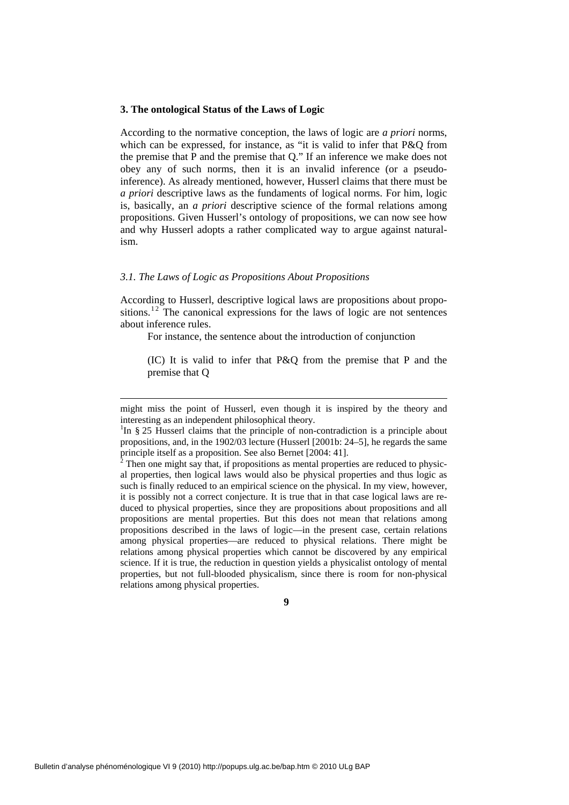#### **3. The ontological Status of the Laws of Logic**

According to the normative conception, the laws of logic are *a priori* norms, which can be expressed, for instance, as "it is valid to infer that P&O from the premise that P and the premise that Q." If an inference we make does not obey any of such norms, then it is an invalid inference (or a pseudoinference). As already mentioned, however, Husserl claims that there must be *a priori* descriptive laws as the fundaments of logical norms. For him, logic is, basically, an *a priori* descriptive science of the formal relations among propositions. Given Husserl's ontology of propositions, we can now see how and why Husserl adopts a rather complicated way to argue against naturalism.

#### *3.1. The Laws of Logic as Propositions About Propositions*

-

According to Husserl, descriptive logical laws are propositions about propositions.<sup>12</sup> The canonical expressions for the laws of logic are not sentences about inference rules.

For instance, the sentence about the introduction of conjunction

(IC) It is valid to infer that P&Q from the premise that P and the premise that Q

might miss the point of Husserl, even though it is inspired by the theory and interesting as an independent philosophical theory.

<span id="page-8-0"></span><sup>&</sup>lt;sup>1</sup>In § 25 Husserl claims that the principle of non-contradiction is a principle about propositions, and, in the 1902/03 lecture (Husserl [2001b: 24–5], he regards the same principle itself as a proposition. See also Bernet [2004: 41]. 2

 $2^2$  Then one might say that, if propositions as mental properties are reduced to physical properties, then logical laws would also be physical properties and thus logic as such is finally reduced to an empirical science on the physical. In my view, however, it is possibly not a correct conjecture. It is true that in that case logical laws are reduced to physical properties, since they are propositions about propositions and all propositions are mental properties. But this does not mean that relations among propositions described in the laws of logic—in the present case, certain relations among physical properties—are reduced to physical relations. There might be relations among physical properties which cannot be discovered by any empirical science. If it is true, the reduction in question yields a physicalist ontology of mental properties, but not full-blooded physicalism, since there is room for non-physical relations among physical properties.

**<sup>9</sup>**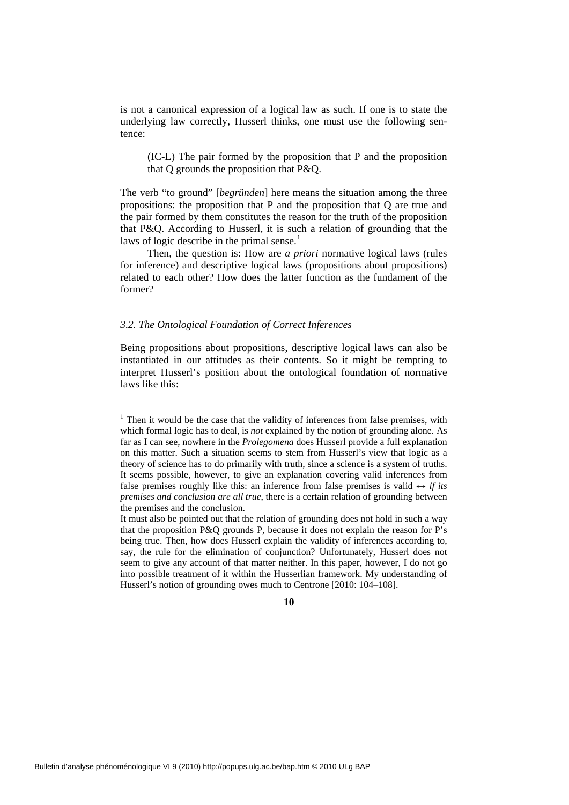is not a canonical expression of a logical law as such. If one is to state the underlying law correctly, Husserl thinks, one must use the following sentence:

(IC-L) The pair formed by the proposition that P and the proposition that Q grounds the proposition that P&Q.

The verb "to ground" [*begründen*] here means the situation among the three propositions: the proposition that P and the proposition that Q are true and the pair formed by them constitutes the reason for the truth of the proposition that P&Q. According to Husserl, it is such a relation of grounding that the laws of logic describe in the primal sense.<sup>[1](#page-9-0)</sup>

Then, the question is: How are *a priori* normative logical laws (rules for inference) and descriptive logical laws (propositions about propositions) related to each other? How does the latter function as the fundament of the former?

#### *3.2. The Ontological Foundation of Correct Inferences*

1

Being propositions about propositions, descriptive logical laws can also be instantiated in our attitudes as their contents. So it might be tempting to interpret Husserl's position about the ontological foundation of normative laws like this:

<span id="page-9-0"></span><sup>&</sup>lt;sup>1</sup> Then it would be the case that the validity of inferences from false premises, with which formal logic has to deal, is *not* explained by the notion of grounding alone. As far as I can see, nowhere in the *Prolegomena* does Husserl provide a full explanation on this matter. Such a situation seems to stem from Husserl's view that logic as a theory of science has to do primarily with truth, since a science is a system of truths. It seems possible, however, to give an explanation covering valid inferences from false premises roughly like this: an inference from false premises is valid  $\leftrightarrow$  *if its premises and conclusion are all true*, there is a certain relation of grounding between the premises and the conclusion.

It must also be pointed out that the relation of grounding does not hold in such a way that the proposition P&Q grounds P, because it does not explain the reason for P's being true. Then, how does Husserl explain the validity of inferences according to, say, the rule for the elimination of conjunction? Unfortunately, Husserl does not seem to give any account of that matter neither. In this paper, however, I do not go into possible treatment of it within the Husserlian framework. My understanding of Husserl's notion of grounding owes much to Centrone [2010: 104–108].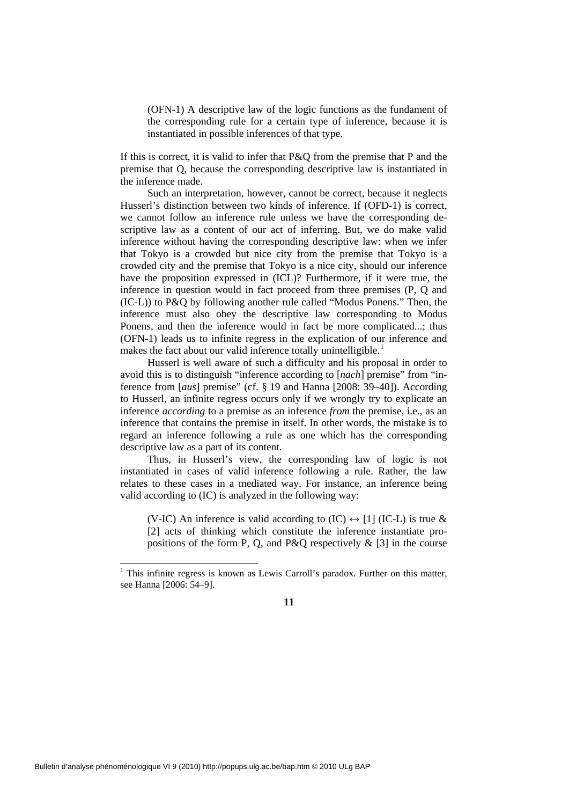(OFN-1) A descriptive law of the logic functions as the fundament of the corresponding rule for a certain type of inference, because it is instantiated in possible inferences of that type.

If this is correct, it is valid to infer that P&Q from the premise that P and the premise that Q, because the corresponding descriptive law is instantiated in the inference made.

Such an interpretation, however, cannot be correct, because it neglects Husserl's distinction between two kinds of inference. If (OFD-1) is correct, we cannot follow an inference rule unless we have the corresponding descriptive law as a content of our act of inferring. But, we do make valid inference without having the corresponding descriptive law: when we infer that Tokyo is a crowded but nice city from the premise that Tokyo is a crowded city and the premise that Tokyo is a nice city, should our inference have the proposition expressed in (ICL)? Furthermore, if it were true, the inference in question would in fact proceed from three premises (P, Q and (IC-L)) to P&Q by following another rule called "Modus Ponens." Then, the inference must also obey the descriptive law corresponding to Modus Ponens, and then the inference would in fact be more complicated...; thus (OFN-1) leads us to infinite regress in the explication of our inference and makes the fact about our valid inference totally unintelligible.<sup>[1](#page-10-0)</sup>

Husserl is well aware of such a difficulty and his proposal in order to avoid this is to distinguish "inference according to [*nach*] premise" from "inference from [*aus*] premise" (cf. § 19 and Hanna [2008: 39–40]). According to Husserl, an infinite regress occurs only if we wrongly try to explicate an inference *according* to a premise as an inference *from* the premise, i.e., as an inference that contains the premise in itself. In other words, the mistake is to regard an inference following a rule as one which has the corresponding descriptive law as a part of its content.

Thus, in Husserl's view, the corresponding law of logic is not instantiated in cases of valid inference following a rule. Rather, the law relates to these cases in a mediated way. For instance, an inference being valid according to (IC) is analyzed in the following way:

(V-IC) An inference is valid according to  $(IC) \leftrightarrow [1] (IC-L)$  is true & [2] acts of thinking which constitute the inference instantiate propositions of the form P, Q, and P&Q respectively  $\&$  [3] in the course

-

<span id="page-10-0"></span> $<sup>1</sup>$  This infinite regress is known as Lewis Carroll's paradox. Further on this matter,</sup> see Hanna [2006: 54–9].

**<sup>11</sup>**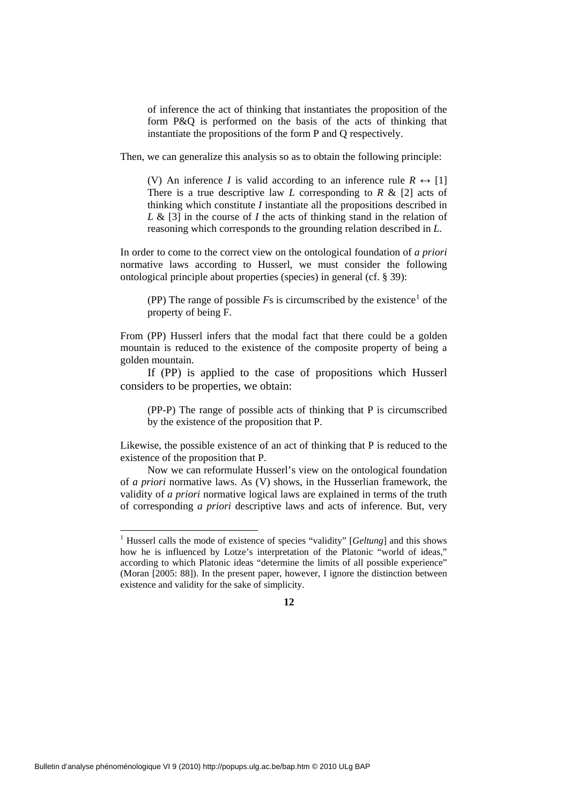of inference the act of thinking that instantiates the proposition of the form P&Q is performed on the basis of the acts of thinking that instantiate the propositions of the form P and Q respectively.

Then, we can generalize this analysis so as to obtain the following principle:

(V) An inference *I* is valid according to an inference rule  $R \leftrightarrow [1]$ There is a true descriptive law *L* corresponding to *R* & [2] acts of thinking which constitute *I* instantiate all the propositions described in *L* & [3] in the course of *I* the acts of thinking stand in the relation of reasoning which corresponds to the grounding relation described in *L*.

In order to come to the correct view on the ontological foundation of *a priori* normative laws according to Husserl, we must consider the following ontological principle about properties (species) in general (cf. § 39):

(PP) The range of possible  $Fs$  is circumscribed by the existence<sup>[1](#page-11-0)</sup> of the property of being F.

From (PP) Husserl infers that the modal fact that there could be a golden mountain is reduced to the existence of the composite property of being a golden mountain.

If (PP) is applied to the case of propositions which Husserl considers to be properties, we obtain:

(PP-P) The range of possible acts of thinking that P is circumscribed by the existence of the proposition that P.

Likewise, the possible existence of an act of thinking that P is reduced to the existence of the proposition that P.

Now we can reformulate Husserl's view on the ontological foundation of *a priori* normative laws. As (V) shows, in the Husserlian framework, the validity of *a priori* normative logical laws are explained in terms of the truth of corresponding *a priori* descriptive laws and acts of inference. But, very

-

<span id="page-11-0"></span><sup>&</sup>lt;sup>1</sup> Husserl calls the mode of existence of species "validity" [*Geltung*] and this shows how he is influenced by Lotze's interpretation of the Platonic "world of ideas," according to which Platonic ideas "determine the limits of all possible experience" (Moran [2005: 88]). In the present paper, however, I ignore the distinction between existence and validity for the sake of simplicity.

**<sup>12</sup>**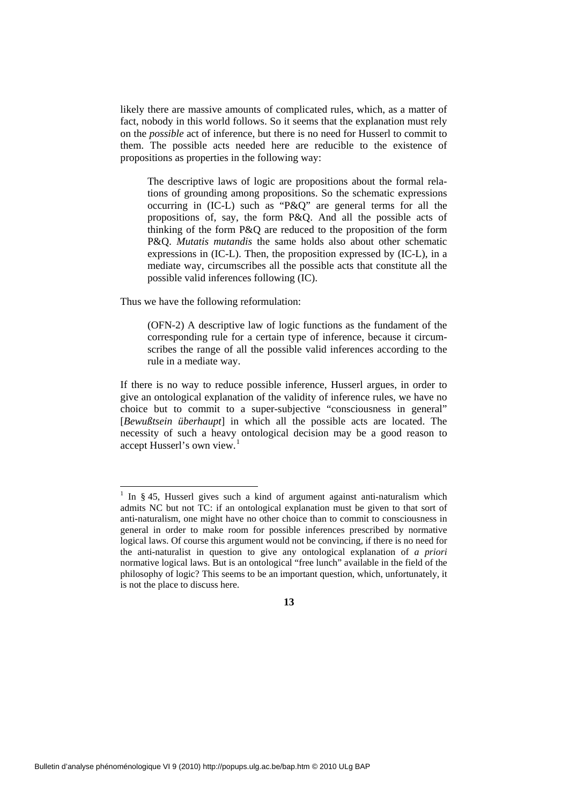likely there are massive amounts of complicated rules, which, as a matter of fact, nobody in this world follows. So it seems that the explanation must rely on the *possible* act of inference, but there is no need for Husserl to commit to them. The possible acts needed here are reducible to the existence of propositions as properties in the following way:

The descriptive laws of logic are propositions about the formal relations of grounding among propositions. So the schematic expressions occurring in (IC-L) such as "P&Q" are general terms for all the propositions of, say, the form P&Q. And all the possible acts of thinking of the form P&Q are reduced to the proposition of the form P&Q. *Mutatis mutandis* the same holds also about other schematic expressions in (IC-L). Then, the proposition expressed by (IC-L), in a mediate way, circumscribes all the possible acts that constitute all the possible valid inferences following (IC).

Thus we have the following reformulation:

1

(OFN-2) A descriptive law of logic functions as the fundament of the corresponding rule for a certain type of inference, because it circumscribes the range of all the possible valid inferences according to the rule in a mediate way.

If there is no way to reduce possible inference, Husserl argues, in order to give an ontological explanation of the validity of inference rules, we have no choice but to commit to a super-subjective "consciousness in general" [*Bewußtsein überhaupt*] in which all the possible acts are located. The necessity of such a heavy ontological decision may be a good reason to accept Husserl's own view.<sup>[1](#page-12-0)</sup>

<span id="page-12-0"></span><sup>&</sup>lt;sup>1</sup> In § 45, Husserl gives such a kind of argument against anti-naturalism which admits NC but not TC: if an ontological explanation must be given to that sort of anti-naturalism, one might have no other choice than to commit to consciousness in general in order to make room for possible inferences prescribed by normative logical laws. Of course this argument would not be convincing, if there is no need for the anti-naturalist in question to give any ontological explanation of *a priori* normative logical laws. But is an ontological "free lunch" available in the field of the philosophy of logic? This seems to be an important question, which, unfortunately, it is not the place to discuss here.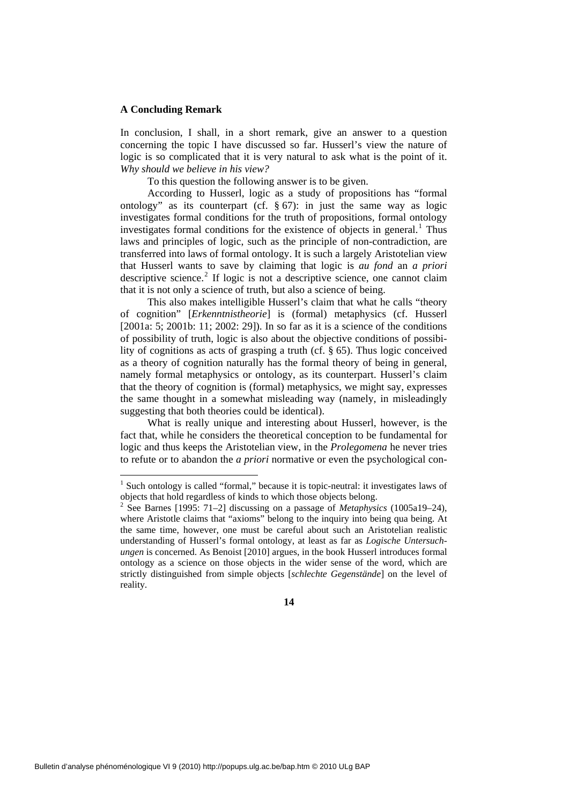## **A Concluding Remark**

1

In conclusion, I shall, in a short remark, give an answer to a question concerning the topic I have discussed so far. Husserl's view the nature of logic is so complicated that it is very natural to ask what is the point of it. *Why should we believe in his view?*

To this question the following answer is to be given.

According to Husserl, logic as a study of propositions has "formal ontology" as its counterpart (cf.  $\S 67$ ): in just the same way as logic investigates formal conditions for the truth of propositions, formal ontology investigates formal conditions for the existence of objects in general.<sup>[1](#page-13-0)</sup> Thus laws and principles of logic, such as the principle of non-contradiction, are transferred into laws of formal ontology. It is such a largely Aristotelian view that Husserl wants to save by claiming that logic is *au fond* an *a priori* descriptive science.<sup>[2](#page-13-1)</sup> If logic is not a descriptive science, one cannot claim that it is not only a science of truth, but also a science of being.

This also makes intelligible Husserl's claim that what he calls "theory of cognition" [*Erkenntnistheorie*] is (formal) metaphysics (cf. Husserl [2001a: 5; 2001b: 11; 2002: 29]). In so far as it is a science of the conditions of possibility of truth, logic is also about the objective conditions of possibility of cognitions as acts of grasping a truth (cf. § 65). Thus logic conceived as a theory of cognition naturally has the formal theory of being in general, namely formal metaphysics or ontology, as its counterpart. Husserl's claim that the theory of cognition is (formal) metaphysics, we might say, expresses the same thought in a somewhat misleading way (namely, in misleadingly suggesting that both theories could be identical).

What is really unique and interesting about Husserl, however, is the fact that, while he considers the theoretical conception to be fundamental for logic and thus keeps the Aristotelian view, in the *Prolegomena* he never tries to refute or to abandon the *a priori* normative or even the psychological con-

<span id="page-13-0"></span><sup>&</sup>lt;sup>1</sup> Such ontology is called "formal," because it is topic-neutral: it investigates laws of objects that hold regardless of kinds to which those objects belong.

<span id="page-13-1"></span><sup>&</sup>lt;sup>2</sup> See Barnes [1995: 71–2] discussing on a passage of *Metaphysics* (1005a19–24), where Aristotle claims that "axioms" belong to the inquiry into being qua being. At the same time, however, one must be careful about such an Aristotelian realistic understanding of Husserl's formal ontology, at least as far as *Logische Untersuchungen* is concerned. As Benoist [2010] argues, in the book Husserl introduces formal ontology as a science on those objects in the wider sense of the word, which are strictly distinguished from simple objects [*schlechte Gegenstände*] on the level of reality.

**<sup>14</sup>**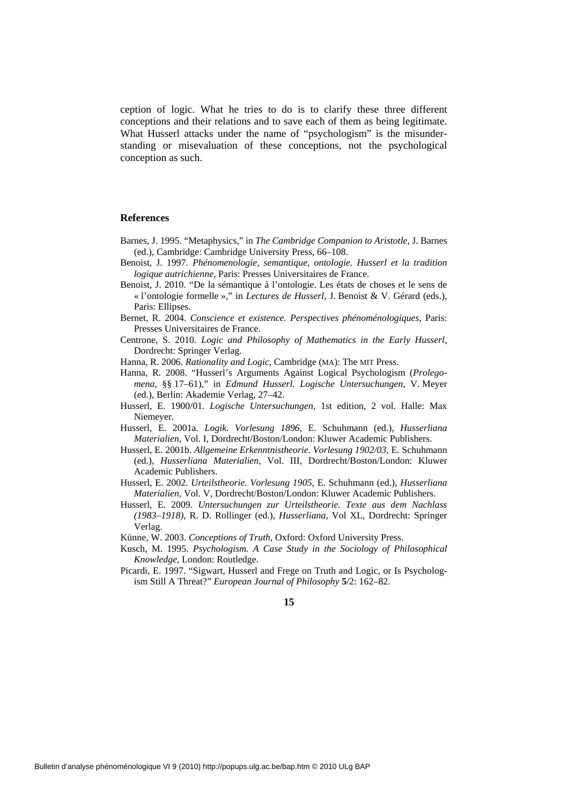ception of logic. What he tries to do is to clarify these three different conceptions and their relations and to save each of them as being legitimate. What Husserl attacks under the name of "psychologism" is the misunderstanding or misevaluation of these conceptions, not the psychological conception as such.

### **References**

- Barnes, J. 1995. "Metaphysics," in *The Cambridge Companion to Aristotle*, J. Barnes (ed.), Cambridge: Cambridge University Press, 66–108.
- Benoist, J. 1997. *Phénomenologie, semantique, ontologie. Husserl et la tradition logique autrichienne*, Paris: Presses Universitaires de France.
- Benoist, J. 2010. "De la sémantique à l'ontologie. Les états de choses et le sens de « l'ontologie formelle »," in *Lectures de Husserl*, J. Benoist & V. Gérard (eds.), Paris: Ellipses.
- Bernet, R. 2004. *Conscience et existence. Perspectives phénoménologiques*, Paris: Presses Universitaires de France.
- Centrone, S. 2010. *Logic and Philosophy of Mathematics in the Early Husserl*, Dordrecht: Springer Verlag.
- Hanna, R. 2006. *Rationality and Logic*, Cambridge (MA): The MIT Press.
- Hanna, R. 2008. "Husserl's Arguments Against Logical Psychologism (*Prolegomena,* §§ 17–61)," in *Edmund Husserl. Logische Untersuchungen*, V. Meyer (ed.), Berlin: Akademie Verlag, 27–42.
- Husserl, E. 1900/01. *Logische Untersuchungen*, 1st edition, 2 vol. Halle: Max Niemeyer.
- Husserl, E. 2001a. *Logik. Vorlesung 1896*, E. Schuhmann (ed.), *Husserliana Materialien*, Vol. I, Dordrecht/Boston/London: Kluwer Academic Publishers.
- Husserl, E. 2001b. *Allgemeine Erkenntnistheorie. Vorlesung 1902/03*, E. Schuhmann (ed.), *Husserliana Materialien*, Vol. III, Dordrecht/Boston/London: Kluwer Academic Publishers.
- Husserl, E. 2002. *Urteilstheorie. Vorlesung 1905*, E. Schuhmann (ed.), *Husserliana Materialien*, Vol. V, Dordrecht/Boston/London: Kluwer Academic Publishers.
- Husserl, E. 2009. *Untersuchungen zur Urteilstheorie. Texte aus dem Nachlass (1983–1918)*, R. D. Rollinger (ed.), *Husserliana*, Vol XL, Dordrecht: Springer Verlag.

Künne, W. 2003. *Conceptions of Truth*, Oxford: Oxford University Press.

- Kusch, M. 1995. *Psychologism. A Case Study in the Sociology of Philosophical Knowledge*, London: Routledge.
- Picardi, E. 1997. "Sigwart, Husserl and Frege on Truth and Logic, or Is Psychologism Still A Threat?" *European Journal of Philosophy* **5**/2: 162–82.